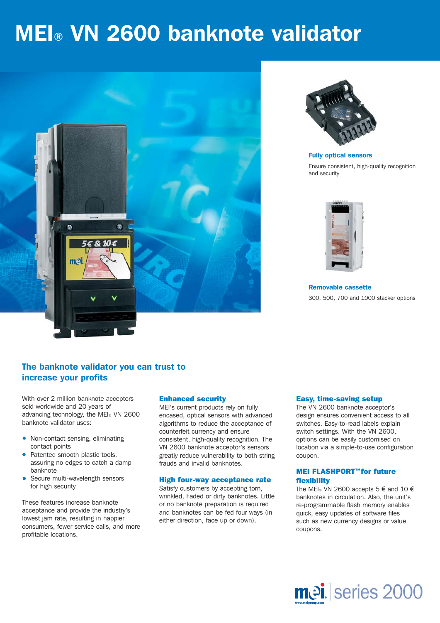# MEI® VN 2600 banknote validator





Fully optical sensors Ensure consistent, high-quality recognition and security



Removable cassette 300, 500, 700 and 1000 stacker options

# The banknote validator you can trust to increase your profits

With over 2 million banknote acceptors sold worldwide and 20 years of advancing technology, the MEI® VN 2600 banknote validator uses:

- Non-contact sensing, eliminating contact points
- Patented smooth plastic tools, assuring no edges to catch a damp banknote
- Secure multi-wavelength sensors for high security

These features increase banknote acceptance and provide the industry's lowest jam rate, resulting in happier consumers, fewer service calls, and more profitable locations.

### Enhanced security

MEI's current products rely on fully encased, optical sensors with advanced algorithms to reduce the acceptance of counterfeit currency and ensure consistent, high-quality recognition. The VN 2600 banknote acceptor's sensors greatly reduce vulnerability to both string frauds and invalid banknotes.

#### High four-way acceptance rate

Satisfy customers by accepting torn, wrinkled, Faded or dirty banknotes. Little or no banknote preparation is required and banknotes can be fed four ways (in either direction, face up or down).

#### Easy, time-saving setup

The VN 2600 banknote acceptor's design ensures convenient access to all switches. Easy-to-read labels explain switch settings. With the VN 2600, options can be easily customised on location via a simple-to-use configuration coupon.

#### MEI FLASHPORT™for future flexibility

The MEI<sup>®</sup> VN 2600 accepts 5 € and 10 € banknotes in circulation. Also, the unit's re-programmable flash memory enables quick, easy updates of software files such as new currency designs or value coupons.